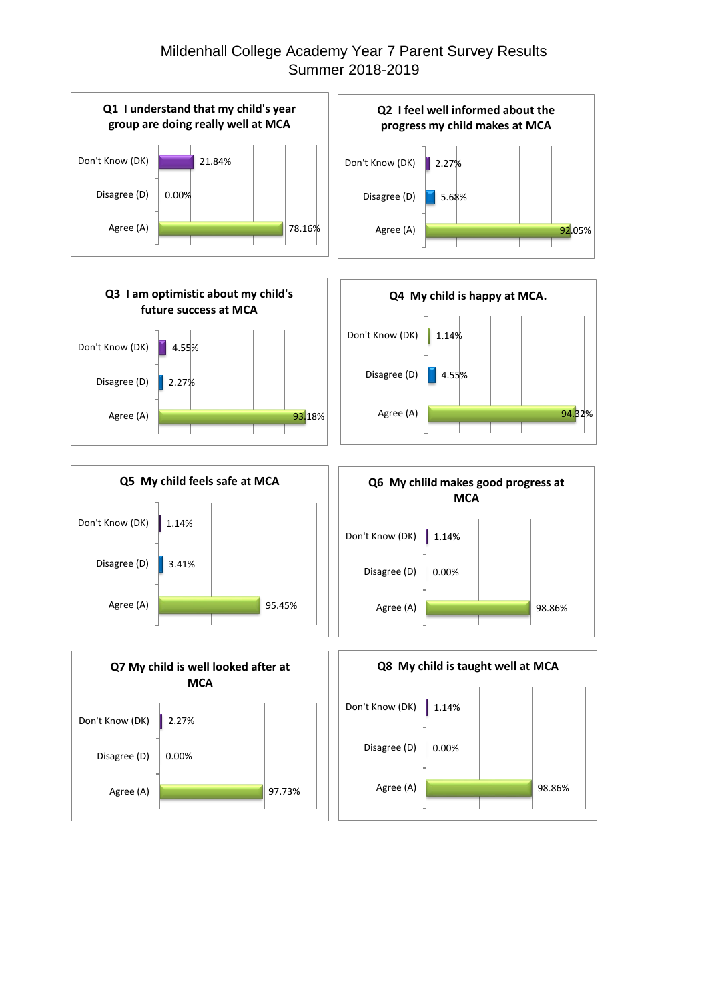## Mildenhall College Academy Year 7 Parent Survey Results Summer 2018-2019